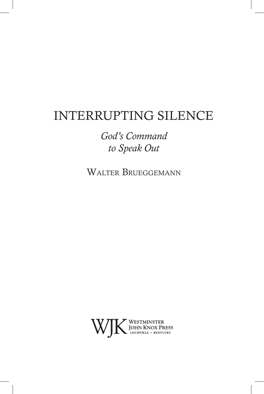# INTERRUPTING SILENCE

*God's Command to Speak Out*

WALTER BRUEGGEMANN

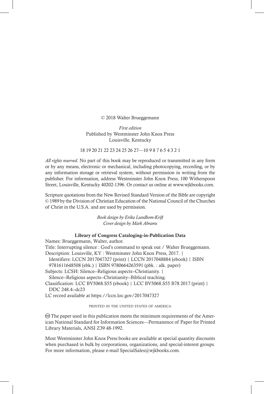© 2018 Walter Brueggemann

*First edition* Published by Westminster John Knox Press Louisville, Kentucky

#### 18 19 20 21 22 23 24 25 26 27—10 9 8 7 6 5 4 3 2 1

*All rights reserved*. No part of this book may be reproduced or transmitted in any form or by any means, electronic or mechanical, including photocopying, recording, or by any information storage or retrieval system, without permission in writing from the publisher. For information, address Westminster John Knox Press, 100 Witherspoon Street, Louisville, Kentucky 40202-1396. Or contact us online at www.wjkbooks.com.

Scripture quotations from the New Revised Standard Version of the Bible are copyright © 1989 by the Division of Christian Education of the National Council of the Churches of Christ in the U.S.A. and are used by permission.

> *Book design by Erika Lundbom-Krift Cover design by Mark Abrams*

#### Library of Congress Cataloging-in-Publication Data

Names: Brueggemann, Walter, author. Title: Interrupting silence : God's command to speak out / Walter Brueggemann. Description: Louisville, KY : Westminster John Knox Press, 2017. | Identifiers: LCCN 2017047327 (print) | LCCN 2017048884 (ebook) | ISBN 9781611648508 (ebk.) | ISBN 9780664263591 (pbk. : alk. paper) Subjects: LCSH: Silence--Religious aspects--Christianity. | Silence--Religious aspects--Christianity--Biblical teaching. Classification: LCC BV5068.S55 (ebook) | LCC BV5068.S55 B78 2017 (print) |

DDC 248.4--dc23

LC record available at https://lccn.loc.gov/2017047327

printed in the united states of america

 $\circledcirc$  The paper used in this publication meets the minimum requirements of the American National Standard for Information Sciences—Permanence of Paper for Printed Library Materials, ANSI Z39.48-1992.

Most Westminster John Knox Press books are available at special quantity discounts when purchased in bulk by corporations, organizations, and special-interest groups. For more information, please e-mail SpecialSales@wjkbooks.com.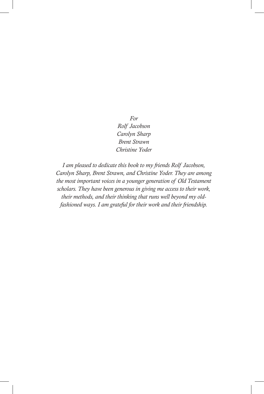*For Rolf Jacobson Carolyn Sharp Brent Strawn Christine Yoder*

*I am pleased to dedicate this book to my friends Rolf Jacobson, Carolyn Sharp, Brent Strawn, and Christine Yoder. They are among the most important voices in a younger generation of Old Testament scholars. They have been generous in giving me access to their work, their methods, and their thinking that runs well beyond my oldfashioned ways. I am grateful for their work and their friendship.*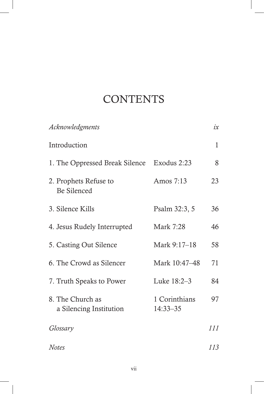# **CONTENTS**

| Acknowledgments                             |                           | ix  |
|---------------------------------------------|---------------------------|-----|
| Introduction                                |                           | 1   |
| 1. The Oppressed Break Silence Exodus 2:23  |                           | 8   |
| 2. Prophets Refuse to<br>Be Silenced        | Amos 7:13                 | 23  |
| 3. Silence Kills                            | Psalm 32:3, 5             | 36  |
| 4. Jesus Rudely Interrupted                 | <b>Mark 7:28</b>          | 46  |
| 5. Casting Out Silence                      | Mark 9:17-18              | 58  |
| 6. The Crowd as Silencer                    | Mark 10:47-48             | 71  |
| 7. Truth Speaks to Power                    | Luke 18:2-3               | 84  |
| 8. The Church as<br>a Silencing Institution | 1 Corinthians<br>14:33-35 | 97  |
| Glossary                                    |                           | 111 |
| <b>Notes</b>                                |                           | 113 |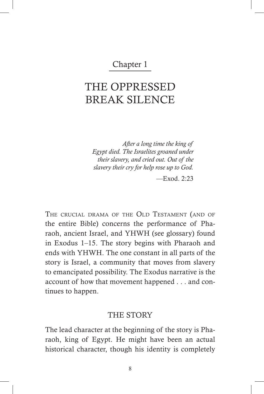## Chapter 1

# THE OPPRESSED BREAK SILENCE

*After a long time the king of Egypt died. The Israelites groaned under their slavery, and cried out. Out of the slavery their cry for help rose up to God.*

 $-$ Exod. 2:23

THE CRUCIAL DRAMA OF THE OLD TESTAMENT (AND OF the entire Bible) concerns the performance of Pharaoh, ancient Israel, and YHWH (see glossary) found in Exodus 1–15. The story begins with Pharaoh and ends with YHWH. The one constant in all parts of the story is Israel, a community that moves from slavery to emancipated possibility. The Exodus narrative is the account of how that movement happened . . . and continues to happen.

### THE STORY

The lead character at the beginning of the story is Pharaoh, king of Egypt. He might have been an actual historical character, though his identity is completely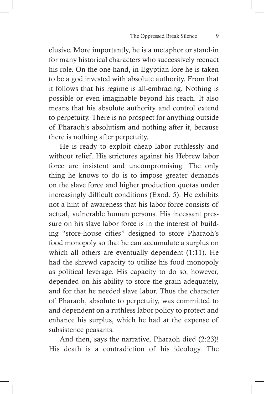elusive. More importantly, he is a metaphor or stand-in for many historical characters who successively reenact his role. On the one hand, in Egyptian lore he is taken to be a god invested with absolute authority. From that it follows that his regime is all-embracing. Nothing is possible or even imaginable beyond his reach. It also means that his absolute authority and control extend to perpetuity. There is no prospect for anything outside of Pharaoh's absolutism and nothing after it, because there is nothing after perpetuity.

He is ready to exploit cheap labor ruthlessly and without relief. His strictures against his Hebrew labor force are insistent and uncompromising. The only thing he knows to do is to impose greater demands on the slave force and higher production quotas under increasingly difficult conditions (Exod. 5). He exhibits not a hint of awareness that his labor force consists of actual, vulnerable human persons. His incessant pressure on his slave labor force is in the interest of building "store-house cities" designed to store Pharaoh's food monopoly so that he can accumulate a surplus on which all others are eventually dependent (1:11). He had the shrewd capacity to utilize his food monopoly as political leverage. His capacity to do so, however, depended on his ability to store the grain adequately, and for that he needed slave labor. Thus the character of Pharaoh, absolute to perpetuity, was committed to and dependent on a ruthless labor policy to protect and enhance his surplus, which he had at the expense of subsistence peasants.

And then, says the narrative, Pharaoh died (2:23)! His death is a contradiction of his ideology. The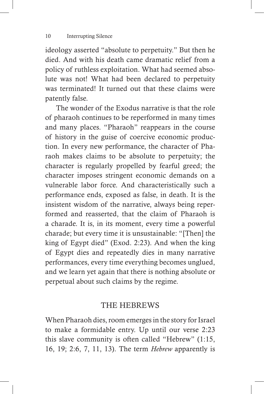ideology asserted "absolute to perpetuity." But then he died. And with his death came dramatic relief from a policy of ruthless exploitation. What had seemed absolute was not! What had been declared to perpetuity was terminated! It turned out that these claims were patently false.

The wonder of the Exodus narrative is that the role of pharaoh continues to be reperformed in many times and many places. "Pharaoh" reappears in the course of history in the guise of coercive economic production. In every new performance, the character of Pharaoh makes claims to be absolute to perpetuity; the character is regularly propelled by fearful greed; the character imposes stringent economic demands on a vulnerable labor force. And characteristically such a performance ends, exposed as false, in death. It is the insistent wisdom of the narrative, always being reperformed and reasserted, that the claim of Pharaoh is a charade. It is, in its moment, every time a powerful charade; but every time it is unsustainable: "[Then] the king of Egypt died" (Exod. 2:23). And when the king of Egypt dies and repeatedly dies in many narrative performances, every time everything becomes unglued, and we learn yet again that there is nothing absolute or perpetual about such claims by the regime.

## THE HEBREWS

When Pharaoh dies, room emerges in the story for Israel to make a formidable entry. Up until our verse 2:23 this slave community is often called "Hebrew" (1:15, 16, 19; 2:6, 7, 11, 13). The term *Hebrew* apparently is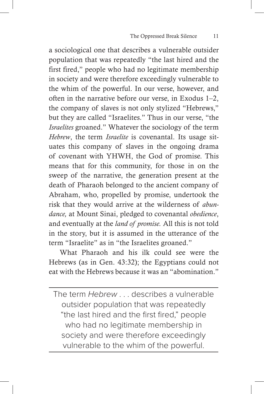a sociological one that describes a vulnerable outsider population that was repeatedly "the last hired and the first fired," people who had no legitimate membership in society and were therefore exceedingly vulnerable to the whim of the powerful. In our verse, however, and often in the narrative before our verse, in Exodus 1–2, the company of slaves is not only stylized "Hebrews," but they are called "Israelites." Thus in our verse, "the *Israelites* groaned." Whatever the sociology of the term *Hebrew*, the term *Israelite* is covenantal. Its usage situates this company of slaves in the ongoing drama of covenant with YHWH, the God of promise. This means that for this community, for those in on the sweep of the narrative, the generation present at the death of Pharaoh belonged to the ancient company of Abraham, who, propelled by promise, undertook the risk that they would arrive at the wilderness of *abundance,* at Mount Sinai, pledged to covenantal *obedience*, and eventually at the *land of promise.* All this is not told in the story, but it is assumed in the utterance of the term "Israelite" as in "the Israelites groaned."

What Pharaoh and his ilk could see were the Hebrews (as in Gen. 43:32); the Egyptians could not eat with the Hebrews because it was an "abomination."

The term *Hebrew* . . . describes a vulnerable outsider population that was repeatedly "the last hired and the first fired," people who had no legitimate membership in society and were therefore exceedingly vulnerable to the whim of the powerful.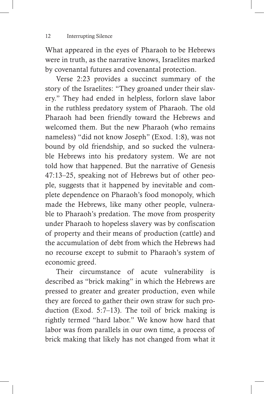What appeared in the eyes of Pharaoh to be Hebrews were in truth, as the narrative knows, Israelites marked by covenantal futures and covenantal protection.

Verse 2:23 provides a succinct summary of the story of the Israelites: "They groaned under their slavery." They had ended in helpless, forlorn slave labor in the ruthless predatory system of Pharaoh. The old Pharaoh had been friendly toward the Hebrews and welcomed them. But the new Pharaoh (who remains nameless) "did not know Joseph" (Exod. 1:8), was not bound by old friendship, and so sucked the vulnerable Hebrews into his predatory system. We are not told how that happened. But the narrative of Genesis 47:13–25, speaking not of Hebrews but of other people, suggests that it happened by inevitable and complete dependence on Pharaoh's food monopoly, which made the Hebrews, like many other people, vulnerable to Pharaoh's predation. The move from prosperity under Pharaoh to hopeless slavery was by confiscation of property and their means of production (cattle) and the accumulation of debt from which the Hebrews had no recourse except to submit to Pharaoh's system of economic greed.

Their circumstance of acute vulnerability is described as "brick making" in which the Hebrews are pressed to greater and greater production, even while they are forced to gather their own straw for such production (Exod. 5:7–13). The toil of brick making is rightly termed "hard labor." We know how hard that labor was from parallels in our own time, a process of brick making that likely has not changed from what it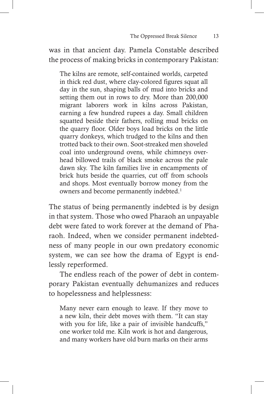was in that ancient day. Pamela Constable described the process of making bricks in contemporary Pakistan:

The kilns are remote, self-contained worlds, carpeted in thick red dust, where clay-colored figures squat all day in the sun, shaping balls of mud into bricks and setting them out in rows to dry. More than 200,000 migrant laborers work in kilns across Pakistan, earning a few hundred rupees a day. Small children squatted beside their fathers, rolling mud bricks on the quarry floor. Older boys load bricks on the little quarry donkeys, which trudged to the kilns and then trotted back to their own. Soot-streaked men shoveled coal into underground ovens, while chimneys overhead billowed trails of black smoke across the pale dawn sky. The kiln families live in encampments of brick huts beside the quarries, cut off from schools and shops. Most eventually borrow money from the owners and become permanently indebted.<sup>1</sup>

The status of being permanently indebted is by design in that system. Those who owed Pharaoh an unpayable debt were fated to work forever at the demand of Pharaoh. Indeed, when we consider permanent indebtedness of many people in our own predatory economic system, we can see how the drama of Egypt is endlessly reperformed.

The endless reach of the power of debt in contemporary Pakistan eventually dehumanizes and reduces to hopelessness and helplessness:

Many never earn enough to leave. If they move to a new kiln, their debt moves with them. "It can stay with you for life, like a pair of invisible handcuffs," one worker told me. Kiln work is hot and dangerous, and many workers have old burn marks on their arms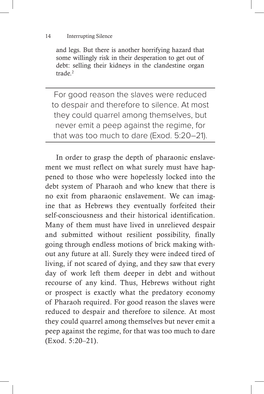and legs. But there is another horrifying hazard that some willingly risk in their desperation to get out of debt: selling their kidneys in the clandestine organ trade.2

For good reason the slaves were reduced to despair and therefore to silence. At most they could quarrel among themselves, but never emit a peep against the regime, for that was too much to dare (Exod. 5:20–21).

In order to grasp the depth of pharaonic enslavement we must reflect on what surely must have happened to those who were hopelessly locked into the debt system of Pharaoh and who knew that there is no exit from pharaonic enslavement. We can imagine that as Hebrews they eventually forfeited their self-consciousness and their historical identification. Many of them must have lived in unrelieved despair and submitted without resilient possibility, finally going through endless motions of brick making without any future at all. Surely they were indeed tired of living, if not scared of dying, and they saw that every day of work left them deeper in debt and without recourse of any kind. Thus, Hebrews without right or prospect is exactly what the predatory economy of Pharaoh required. For good reason the slaves were reduced to despair and therefore to silence. At most they could quarrel among themselves but never emit a peep against the regime, for that was too much to dare (Exod. 5:20–21).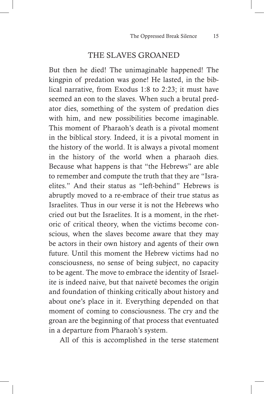#### THE SLAVES GROANED

But then he died! The unimaginable happened! The kingpin of predation was gone! He lasted, in the biblical narrative, from Exodus 1:8 to 2:23; it must have seemed an eon to the slaves. When such a brutal predator dies, something of the system of predation dies with him, and new possibilities become imaginable. This moment of Pharaoh's death is a pivotal moment in the biblical story. Indeed, it is a pivotal moment in the history of the world. It is always a pivotal moment in the history of the world when a pharaoh dies. Because what happens is that "the Hebrews" are able to remember and compute the truth that they are "Israelites." And their status as "left-behind" Hebrews is abruptly moved to a re-embrace of their true status as Israelites. Thus in our verse it is not the Hebrews who cried out but the Israelites. It is a moment, in the rhetoric of critical theory, when the victims become conscious, when the slaves become aware that they may be actors in their own history and agents of their own future. Until this moment the Hebrew victims had no consciousness, no sense of being subject, no capacity to be agent. The move to embrace the identity of Israelite is indeed naive, but that naiveté becomes the origin and foundation of thinking critically about history and about one's place in it. Everything depended on that moment of coming to consciousness. The cry and the groan are the beginning of that process that eventuated in a departure from Pharaoh's system.

All of this is accomplished in the terse statement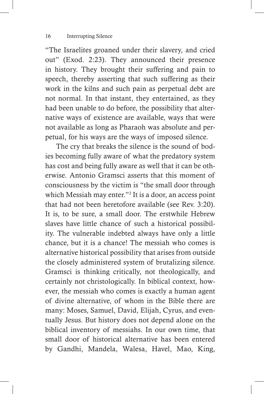"The Israelites groaned under their slavery, and cried out" (Exod. 2:23). They announced their presence in history. They brought their suffering and pain to speech, thereby asserting that such suffering as their work in the kilns and such pain as perpetual debt are not normal. In that instant, they entertained, as they had been unable to do before, the possibility that alternative ways of existence are available, ways that were not available as long as Pharaoh was absolute and perpetual, for his ways are the ways of imposed silence.

The cry that breaks the silence is the sound of bodies becoming fully aware of what the predatory system has cost and being fully aware as well that it can be otherwise. Antonio Gramsci asserts that this moment of consciousness by the victim is "the small door through which Messiah may enter."3 It is a door, an access point that had not been heretofore available (see Rev. 3:20). It is, to be sure, a small door. The erstwhile Hebrew slaves have little chance of such a historical possibility. The vulnerable indebted always have only a little chance, but it is a chance! The messiah who comes is alternative historical possibility that arises from outside the closely administered system of brutalizing silence. Gramsci is thinking critically, not theologically, and certainly not christologically. In biblical context*,* however, the messiah who comes is exactly a human agent of divine alternative, of whom in the Bible there are many: Moses, Samuel, David, Elijah, Cyrus, and eventually Jesus. But history does not depend alone on the biblical inventory of messiahs. In our own time, that small door of historical alternative has been entered by Gandhi, Mandela, Walesa, Havel, Mao, King,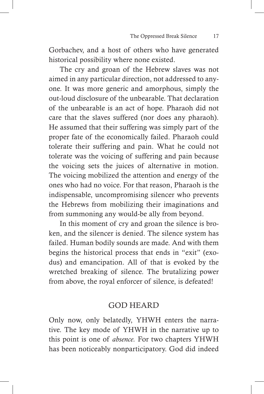Gorbachev, and a host of others who have generated historical possibility where none existed.

The cry and groan of the Hebrew slaves was not aimed in any particular direction, not addressed to anyone. It was more generic and amorphous, simply the out-loud disclosure of the unbearable. That declaration of the unbearable is an act of hope. Pharaoh did not care that the slaves suffered (nor does any pharaoh). He assumed that their suffering was simply part of the proper fate of the economically failed. Pharaoh could tolerate their suffering and pain. What he could not tolerate was the voicing of suffering and pain because the voicing sets the juices of alternative in motion. The voicing mobilized the attention and energy of the ones who had no voice. For that reason, Pharaoh is the indispensable, uncompromising silencer who prevents the Hebrews from mobilizing their imaginations and from summoning any would-be ally from beyond.

In this moment of cry and groan the silence is broken, and the silencer is denied. The silence system has failed. Human bodily sounds are made. And with them begins the historical process that ends in "exit" (exodus) and emancipation. All of that is evoked by the wretched breaking of silence. The brutalizing power from above, the royal enforcer of silence, is defeated!

### GOD HEARD

Only now, only belatedly, YHWH enters the narrative. The key mode of YHWH in the narrative up to this point is one of *absence.* For two chapters YHWH has been noticeably nonparticipatory. God did indeed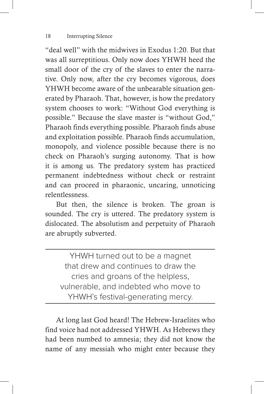"deal well" with the midwives in Exodus 1:20. But that was all surreptitious. Only now does YHWH heed the small door of the cry of the slaves to enter the narrative. Only now, after the cry becomes vigorous, does YHWH become aware of the unbearable situation generated by Pharaoh. That, however, is how the predatory system chooses to work: "Without God everything is possible." Because the slave master is "without God," Pharaoh finds everything possible. Pharaoh finds abuse and exploitation possible. Pharaoh finds accumulation, monopoly, and violence possible because there is no check on Pharaoh's surging autonomy. That is how it is among us. The predatory system has practiced permanent indebtedness without check or restraint and can proceed in pharaonic, uncaring, unnoticing relentlessness.

But then, the silence is broken. The groan is sounded. The cry is uttered. The predatory system is dislocated. The absolutism and perpetuity of Pharaoh are abruptly subverted.

YHWH turned out to be a magnet that drew and continues to draw the cries and groans of the helpless, vulnerable, and indebted who move to YHWH's festival-generating mercy.

At long last God heard! The Hebrew-Israelites who find voice had not addressed YHWH. As Hebrews they had been numbed to amnesia; they did not know the name of any messiah who might enter because they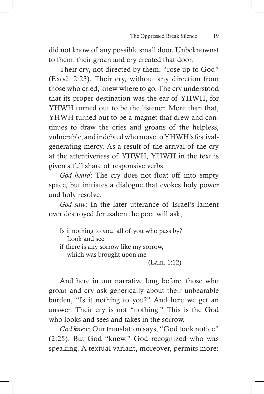did not know of any possible small door. Unbeknownst to them, their groan and cry created that door.

Their cry, not directed by them, "rose up to God" (Exod. 2:23). Their cry, without any direction from those who cried, knew where to go. The cry understood that its proper destination was the ear of YHWH, for YHWH turned out to be the listener. More than that, YHWH turned out to be a magnet that drew and continues to draw the cries and groans of the helpless, vulnerable, and indebted who move to YHWH's festivalgenerating mercy. As a result of the arrival of the cry at the attentiveness of YHWH, YHWH in the text is given a full share of responsive verbs:

*God heard*: The cry does not float off into empty space, but initiates a dialogue that evokes holy power and holy resolve.

*God saw*: In the later utterance of Israel's lament over destroyed Jerusalem the poet will ask,

Is it nothing to you, all of you who pass by? Look and see if there is any sorrow like my sorrow, which was brought upon me. (Lam. 1:12)

And here in our narrative long before, those who groan and cry ask generically about their unbearable burden, "Is it nothing to you?" And here we get an answer. Their cry is not "nothing." This is the God who looks and sees and takes in the sorrow.

*God knew*: Our translation says, "God took notice" (2:25). But God "knew." God recognized who was speaking. A textual variant, moreover, permits more: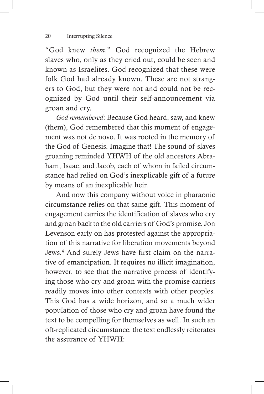"God knew *them*." God recognized the Hebrew slaves who, only as they cried out, could be seen and known as Israelites. God recognized that these were folk God had already known. These are not strangers to God, but they were not and could not be recognized by God until their self-announcement via groan and cry.

*God remembered*: Because God heard, saw, and knew (them), God remembered that this moment of engagement was not de novo. It was rooted in the memory of the God of Genesis. Imagine that! The sound of slaves groaning reminded YHWH of the old ancestors Abraham, Isaac, and Jacob, each of whom in failed circumstance had relied on God's inexplicable gift of a future by means of an inexplicable heir.

And now this company without voice in pharaonic circumstance relies on that same gift. This moment of engagement carries the identification of slaves who cry and groan back to the old carriers of God's promise. Jon Levenson early on has protested against the appropriation of this narrative for liberation movements beyond Jews.4 And surely Jews have first claim on the narrative of emancipation. It requires no illicit imagination, however, to see that the narrative process of identifying those who cry and groan with the promise carriers readily moves into other contexts with other peoples. This God has a wide horizon, and so a much wider population of those who cry and groan have found the text to be compelling for themselves as well. In such an oft-replicated circumstance, the text endlessly reiterates the assurance of YHWH: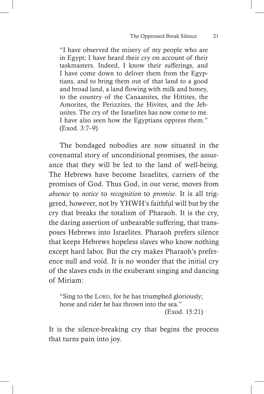"I have observed the misery of my people who are in Egypt; I have heard their cry on account of their taskmasters. Indeed, I know their sufferings, and I have come down to deliver them from the Egyptians, and to bring them out of that land to a good and broad land, a land flowing with milk and honey, to the country of the Canaanites, the Hittites, the Amorites, the Perizzites, the Hivites, and the Jebusites. The cry of the Israelites has now come to me. I have also seen how the Egyptians oppress them." (Exod. 3:7–9)

The bondaged nobodies are now situated in the covenantal story of unconditional promises, the assurance that they will be led to the land of well-being. The Hebrews have become Israelites, carriers of the promises of God. Thus God, in our verse, moves from *absence* to *notice* to *recognition* to *promise*. It is all triggered, however, not by YHWH's faithful will but by the cry that breaks the totalism of Pharaoh. It is the cry, the daring assertion of unbearable suffering, that transposes Hebrews into Israelites. Pharaoh prefers silence that keeps Hebrews hopeless slaves who know nothing except hard labor. But the cry makes Pharaoh's preference null and void. It is no wonder that the initial cry of the slaves ends in the exuberant singing and dancing of Miriam:

"Sing to the LORD, for he has triumphed gloriously; horse and rider he has thrown into the sea." (Exod. 15:21)

It is the silence-breaking cry that begins the process that turns pain into joy.